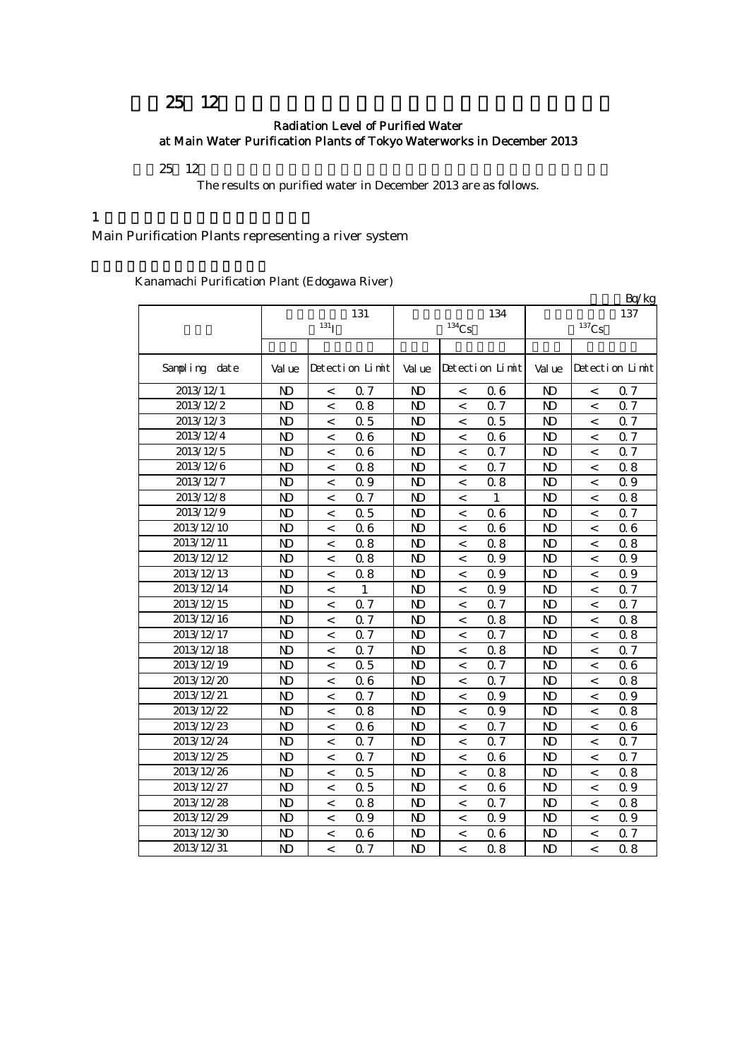# 25 12

### Radiation Level of Purified Water at Main Water Purification Plants of Tokyo Waterworks in December 2013

 $25 \t12$ 

The results on purified water in December 2013 are as follows.

#### $1$

Main Purification Plants representing a river system

Kanamachi Purification Plant (Edogawa River)

|               |                |                          |                 |                |                     |                 |                |                          | Bq/kg           |
|---------------|----------------|--------------------------|-----------------|----------------|---------------------|-----------------|----------------|--------------------------|-----------------|
|               |                |                          | 131             |                |                     | 134             |                |                          | 137             |
|               |                | 131 <sub>l</sub>         |                 |                | $^{134}\mathrm{Cs}$ |                 |                | $^{137}\mathrm{Cs}$      |                 |
|               |                |                          |                 |                |                     |                 |                |                          |                 |
| Sampling date | Val ue         |                          | Detection Limit | Val ue         |                     | Detection Limit | Val ue         |                          | Detection Limit |
| 2013/12/1     | N <sub>D</sub> | $\,<\,$                  | 0.7             | N <sub>D</sub> | $\,<\,$             | 06              | N <sub>D</sub> | $\,<\,$                  | Q <sub>7</sub>  |
| 2013/12/2     | $\mathbf{N}$   | $\,<\,$                  | 0.8             | N <sub>D</sub> | $\,<\,$             | 0.7             | $\mathbf{N}$   | $\,<\,$                  | Q 7             |
| 2013/12/3     | $\mathbf{N}$   | $\,<\,$                  | 0.5             | $\mathbf{N}$   | $\,<\,$             | 0.5             | $\mathbf{N}$   | $\,<\,$                  | 0.7             |
| 2013/12/4     | $\mathbf{N}$   | $\,<\,$                  | 06              | $\mathbf{N}$   | $\,<$               | 06              | $\mathbf{N}$   | $\,<\,$                  | 0.7             |
| 2013/12/5     | $\mathbf{N}$   | $\,<\,$                  | 06              | $\mathbf{N}$   | $\,<\,$             | Q 7             | $\mathbf{N}$   | $\,<\,$                  | Q 7             |
| 2013/12/6     | $\mathbf{N}$   | $\,<\,$                  | 0.8             | $\mathbf{N}$   | $\,<\,$             | Q 7             | $\mathbf{N}$   | $\,<\,$                  | 08              |
| 2013/12/7     | $\mathbf{N}$   | $\,<\,$                  | 0.9             | $\mathbf{D}$   | $\,<\,$             | 0.8             | $\mathbf{N}$   | $\,<\,$                  | 0.9             |
| 2013/12/8     | $\mathbf{N}$   | $\,<$                    | 0.7             | $\mathbf{D}$   | $\,<\,$             | $\mathbf{1}$    | $\mathbf{N}$   | $\,<\,$                  | 0.8             |
| 2013/12/9     | $\mathbf{N}$   | $\,<$                    | 0.5             | $\mathbf{N}$   | $\,<$               | 06              | $\mathbf{N}$   | $\,<\,$                  | Q 7             |
| 2013/12/10    | $\mathbf{N}$   | $\,<\,$                  | 06              | $\mathbf{N}$   | $\,<\,$             | 06              | $\mathbf{N}$   | $\,<\,$                  | 06              |
| 2013/12/11    | $\mathbf{N}$   | $\,<\,$                  | 0.8             | $\mathbf{N}$   | $\,<\,$             | 0.8             | $\mathbf{N}$   | $\,<\,$                  | 08              |
| 2013/12/12    | $\mathbf{N}$   | $\,<\,$                  | 0.8             | $\mathbf{N}$   | $\,<\,$             | Q 9             | $\mathbf{N}$   | $\,<\,$                  | 0.9             |
| 2013/12/13    | $\mathbf{N}$   | $\,<\,$                  | 08              | $\mathbf{N}$   | $\,<$               | Q 9             | $\mathbf{N}$   | $\,<\,$                  | 0.9             |
| 2013/12/14    | $\mathbf{N}$   | $\,<$                    | 1               | $\mathbf{N}$   | $\,<$               | Q 9             | $\mathbf{N}$   | $\overline{\phantom{0}}$ | 0.7             |
| 2013/12/15    | $\mathbf{N}$   | $\overline{\phantom{a}}$ | Q 7             | $\mathbf{N}$   | $\,<$               | 0.7             | $\mathbf{N}$   | $\overline{\phantom{0}}$ | 0.7             |
| 2013/12/16    | $\mathbf{N}$   | $\overline{\phantom{0}}$ | 0.7             | $\mathbf{N}$   | $\,<$               | 0.8             | $\mathbf{N}$   | $\overline{\phantom{0}}$ | 08              |
| 2013/12/17    | $\mathbf{N}$   | $\overline{\phantom{0}}$ | 0.7             | N <sub>D</sub> | $\,<$               | Q 7             | $\mathbf{D}$   | $\overline{\phantom{0}}$ | 08              |
| 2013/12/18    | $\mathbf{N}$   | $\overline{\phantom{0}}$ | 0.7             | $\mathbf{N}$   | $\,<$               | 0.8             | $\mathbf{N}$   | $\overline{\phantom{0}}$ | 0.7             |
| 2013/12/19    | $\mathbf{N}$   | $\overline{\phantom{0}}$ | 0.5             | $\mathbf{N}$   | $\,<$               | Q 7             | $\mathbf{N}$   | $\overline{\phantom{0}}$ | 06              |
| 2013/12/20    | $\mathbf{N}$   | $\,<\,$                  | 06              | $\mathbf{N}$   | $\,<\,$             | 0.7             | $\mathbf{N}$   | $\,<\,$                  | 08              |
| 2013/12/21    | $\mathbf{N}$   | $\,<$                    | 0.7             | $\mathbf{D}$   | $\,<\,$             | Q 9             | $\mathbf{N}$   | $\,<\,$                  | 0.9             |
| 2013/12/22    | $\mathbf{N}$   | $\,<\,$                  | 08              | $\mathbf{D}$   | $\,<\,$             | Q 9             | $\mathbf{N}$   | $\,<\,$                  | 08              |
| 2013/12/23    | $\mathbf{N}$   | $\,<\,$                  | 06              | N)             | $\,<\,$             | 0.7             | $\mathbf{D}$   | $\,<\,$                  | 06              |
| 2013/12/24    | $\mathbf{N}$   | $\,<\,$                  | 0.7             | N <sub>D</sub> | $\,<\,$             | 0.7             | $\mathbf{N}$   | $\,<\,$                  | 0.7             |
| 2013/12/25    | $\mathbf{N}$   | $\,<\,$                  | 0.7             | N <sub>D</sub> | $\,<\,$             | 06              | $\mathbf{N}$   | $\,<\,$                  | Q 7             |
| 2013/12/26    | $\mathbf{N}$   | $\,<\,$                  | 0.5             | $\mathbf{N}$   | $\,<$               | 0.8             | $\mathbf{N}$   | $\,<\,$                  | 08              |
| 2013/12/27    | $\mathbf{D}$   | $\,<$                    | 0.5             | $\mathbf{D}$   | $\,<\,$             | 06              | $\mathbf{N}$   | $\,<\,$                  | 0.9             |
| 2013/12/28    | $\mathbf{N}$   | $\,<\,$                  | 08              | $\mathbf{D}$   | $\,<\,$             | 0.7             | $\mathbf{N}$   | $\,<\,$                  | 08              |
| 2013/12/29    | $\mathbf{D}$   | $\,<$                    | 0.9             | N <sub>D</sub> | $\,<\,$             | 0.9             | N)             | $\,<\,$                  | 0.9             |
| 2013/12/30    | ND             | $\,<$                    | 06              | N <sub>D</sub> | $\,<$               | Q 6             | $\mathbf{D}$   | $\,<\,$                  | Q 7             |
| 2013/12/31    | $\mathbf{D}$   | $\,<\,$                  | Q 7             | $\mathbf{D}$   | $\,<\,$             | 0.8             | $\mathbf{D}$   | $\,<\,$                  | 08              |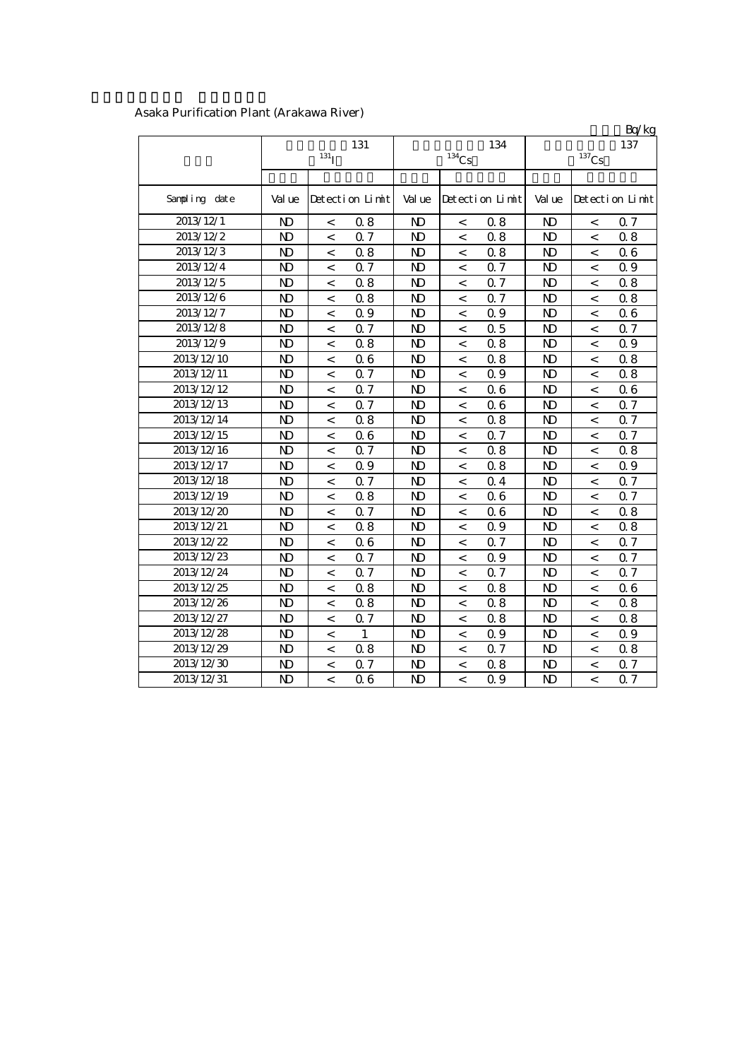|               |                |                          |                 |                |                          |                 |                |                          | Bq/kg           |
|---------------|----------------|--------------------------|-----------------|----------------|--------------------------|-----------------|----------------|--------------------------|-----------------|
|               |                | $131$ <sup>T</sup>       | 131             |                | $^{134}\mathrm{Cs}$      | 134             |                | $^{137}\mathrm{Cs}$      | 137             |
|               |                |                          |                 |                |                          |                 |                |                          |                 |
| Sampling date | Val ue         |                          | Detection Limit | Val ue         |                          | Detection Limit | Val ue         |                          | Detection Limit |
| 2013/12/1     | $\mathbf{N}$   | $\,<\,$                  | 0.8             | N <sub>D</sub> | $\,<$                    | 0.8             | N <sub>D</sub> | $\,<\,$                  | 07              |
| 2013/12/2     | N <sub>D</sub> | $\,<$                    | 0.7             | N <sub>D</sub> | $\,<$                    | 0.8             | N <sub>D</sub> | $\,<$                    | 08              |
| 2013/12/3     | N <sub>D</sub> | $\,<$                    | 0.8             | N <sub>D</sub> | $\,<$                    | 0.8             | N <sub>D</sub> | $\,<$                    | 06              |
| 2013/12/4     | $\mathbf{N}$   | $\,<\,$                  | 0.7             | $\mathbf{N}$   | $\,<\,$                  | Q 7             | $\mathbf{D}$   | $\,<$                    | 0.9             |
| 2013/12/5     | N <sub>D</sub> | $\,<\,$                  | 0.8             | $\mathbf{N}$   | $\,<\,$                  | Q 7             | $\mathbf{N}$   | $\,<$                    | 0.8             |
| 2013/12/6     | N <sub>D</sub> | $\,<\,$                  | 0.8             | N <sub>D</sub> | $\,<\,$                  | Q 7             | $\mathbf{N}$   | $\,<$                    | 0.8             |
| 2013/12/7     | N <sub>D</sub> | $\,<\,$                  | 0.9             | N <sub>D</sub> | $\,<\,$                  | 0.9             | N <sub>D</sub> | $\,<$                    | 06              |
| 2013/12/8     | N <sub>D</sub> | $\,<\,$                  | 0.7             | N)             | $\,<\,$                  | 0.5             | N <sub>D</sub> | $\,<$                    | Q 7             |
| 2013/12/9     | N <sub>D</sub> | $\,<$                    | 0.8             | N <sub>D</sub> | $\,<\,$                  | 0.8             | N <sub>D</sub> | $\,<$                    | 0.9             |
| 2013/12/10    | N <sub>D</sub> | $\,<$                    | 06              | $\mathbf{N}$   | $\,<\,$                  | 0.8             | $\mathbf{D}$   | $\,<$                    | 0.8             |
| 2013/12/11    | $\mathbf{D}$   | $\overline{\phantom{a}}$ | 0.7             | N <sub>D</sub> | $\,<\,$                  | 0.9             | $\mathbf{N}$   | $\,<$                    | 0.8             |
| 2013/12/12    | N <sub>D</sub> | $\overline{a}$           | 0.7             | N <sub>D</sub> | $\overline{a}$           | 0.6             | $\mathbf{N}$   | $\lt$                    | 06              |
| 2013/12/13    | $\mathbf{D}$   | $\overline{\phantom{0}}$ | Q 7             | $\mathbf{N}$   | $\,<\,$                  | 06              | $\mathbf{N}$   | $\,<$                    | Q 7             |
| 2013/12/14    | ND             | $\,<$                    | 08              | N <sub>D</sub> | $\,<$                    | 0.8             | ND             | $\,<$                    | 0.7             |
| 2013/12/15    | N <sub>D</sub> | $\,<$                    | 06              | N)             | $\,<$                    | Q 7             | N <sub>D</sub> | $\,<$                    | Q 7             |
| 2013/12/16    | N <sub>D</sub> | $\overline{\phantom{a}}$ | Q 7             | $\mathbf{N}$   | $\,<\,$                  | 0.8             | $\mathbf{N}$   | $\,<$                    | 0.8             |
| 2013/12/17    | $\mathbf{D}$   | $\,<$                    | 0.9             | $\mathbf{N}$   | $\,<$                    | 0.8             | $\mathbf{D}$   | $\,<$                    | 0.9             |
| 2013/12/18    | N <sub>D</sub> | $\overline{a}$           | 0.7             | $\mathbf{N}$   | $\,<$                    | 0.4             | $\mathbf{D}$   | $\,<$                    | 0.7             |
| 2013/12/19    | N <sub>D</sub> | $\overline{\phantom{0}}$ | 0.8             | $\mathbf{N}$   | $\,<$                    | 06              | $\mathbf{D}$   | $\overline{\phantom{0}}$ | Q 7             |
| 2013/12/20    | ND             | $\,<\,$                  | 0.7             | N)             | $\,<$                    | 06              | ND             | $\,<\,$                  | 08              |
| 2013/12/21    | N <sub>D</sub> | $\,<$                    | 0.8             | N)             | $\,<$                    | 0.9             | N <sub>D</sub> | $\,<$                    | 08              |
| 2013/12/22    | N <sub>D</sub> | $\overline{\phantom{a}}$ | 06              | N <sub>D</sub> | $\,<$                    | Q 7             | $\mathbf{D}$   | $\,<$                    | Q 7             |
| 2013/12/23    | N <sub>D</sub> | $\,<\,$                  | Q 7             | N <sub>D</sub> | $\,<\,$                  | 0.9             | $\mathbf{D}$   | $\overline{\phantom{a}}$ | 0.7             |
| 2013/12/24    | N <sub>D</sub> | $\,<\,$                  | Q 7             | N <sub>D</sub> | $\,<\,$                  | 0.7             | $\mathbf{N}$   | $\,<\,$                  | 0.7             |
| 2013/12/25    | N <sub>D</sub> | $\,<$                    | 0.8             | N <sub>D</sub> | $\,<$                    | 0.8             | $\mathbf{N}$   | $\lt$                    | 06              |
| 2013/12/26    | N <sub>D</sub> | $\,<\,$                  | 08              | N)             | $\,<$                    | 0.8             | $\mathbf{D}$   | $\,<$                    | 08              |
| 2013/12/27    | N <sub>D</sub> | $\,<\,$                  | 0.7             | N)             | $\,<\,$                  | 0.8             | N <sub>D</sub> | $\,<$                    | 08              |
| 2013/12/28    | N <sub>D</sub> | $\,<\,$                  | $\mathbf{1}$    | N <sub>D</sub> | $\,<\,$                  | 0.9             | $\mathbf{D}$   | $\,<\,$                  | 0.9             |
| 2013/12/29    | N <sub>D</sub> | $\,<\,$                  | 08              | $\mathbf{N}$   | $\,<\,$                  | 0.7             | $\mathbf{D}$   | $\,<\,$                  | 0.8             |
| 2013/12/30    | $\mathbf{D}$   | $\,<\,$                  | 0.7             | N <sub>D</sub> | $\,<\,$                  | 0.8             | $\mathbf{D}$   | $\,<$                    | 0.7             |
| 2013/12/31    | $\mathbf{D}$   | $\overline{a}$           | 06              | $\mathbf{N}$   | $\overline{\phantom{a}}$ | 0.9             | $\mathbf{N}$   | $\lt$                    | Q 7             |

## Asaka Purification Plant (Arakawa River)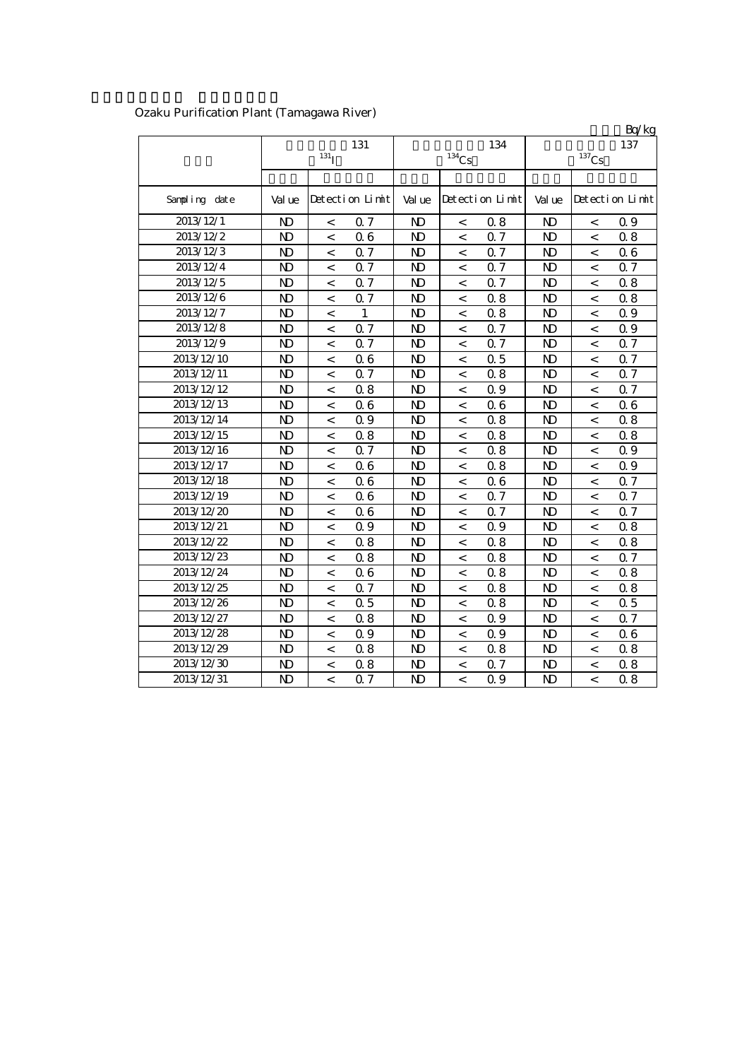|               |                |                          |                 |                |                          |                 |                |                     | Bq/kg           |
|---------------|----------------|--------------------------|-----------------|----------------|--------------------------|-----------------|----------------|---------------------|-----------------|
|               |                |                          | 131             |                |                          | 134             |                |                     | 137             |
|               |                | 131 <sub>I</sub>         |                 |                | $^{134}\mathrm{Cs}$      |                 |                | $^{137}\mathrm{Cs}$ |                 |
|               |                |                          |                 |                |                          |                 |                |                     |                 |
| Sampling date | Val ue         |                          | Detection Limit | Val ue         |                          | Detection Limit | Val ue         |                     | Detection Limit |
| 2013/12/1     | N <sub>D</sub> | $\,<\,$                  | 0.7             | N <sub>D</sub> | $\,<\,$                  | 0.8             | N <sub>D</sub> | $\,<$               | $\Omega$ 9      |
| 2013/12/2     | $\mathbf{N}$   | $\,<\,$                  | 06              | $\mathbf{N}$   | $\,<\,$                  | Q 7             | $\mathbf{N}$   | $\,<$               | 0.8             |
| 2013/12/3     | $\mathbf{N}$   | $\,<\,$                  | 0.7             | $\mathbf{N}$   | $\,<\,$                  | Q 7             | $\mathbf{N}$   | $\,<$               | 06              |
| 2013/12/4     | $\mathbf{N}$   | $\,<\,$                  | Q 7             | $\mathbf{N}$   | $\,<\,$                  | 0.7             | $\mathbf{N}$   | $\,<$               | 0.7             |
| 2013/12/5     | N <sub>D</sub> | $\,<\,$                  | 0.7             | N <sub>D</sub> | $\,<\,$                  | 0.7             | $\mathbf{N}$   | $\,<$               | 0.8             |
| 2013/12/6     | N <sub>D</sub> | $\,<\,$                  | 0.7             | N <sub>D</sub> | $\,<\,$                  | 0.8             | $\mathbf{N}$   | $\,<$               | 0.8             |
| 2013/12/7     | $\mathbf{D}$   | $\,<$                    | $\mathbf{1}$    | N)             | $\,<\,$                  | 0.8             | $\mathbf{D}$   | $\,<$               | 0.9             |
| 2013/12/8     | N <sub>D</sub> | $\,<$                    | 0.7             | N)             | $\,<\,$                  | Q 7             | N <sub>D</sub> | $\,<$               | 0.9             |
| 2013/12/9     | N <sub>D</sub> | $\,<$                    | 0.7             | N <sub>D</sub> | $\,<$                    | Q 7             | N <sub>D</sub> | $\,<$               | Q 7             |
| 2013/12/10    | N <sub>D</sub> | $\,<\,$                  | 06              | N <sub>D</sub> | $\,<\,$                  | 0.5             | $\mathbf{D}$   | $\,<$               | Q 7             |
| 2013/12/11    | N <sub>D</sub> | $\,<\,$                  | 0.7             | N <sub>D</sub> | $\,<\,$                  | 0.8             | N <sub>D</sub> | $\,<$               | Q 7             |
| 2013/12/12    | N <sub>D</sub> | $\,<\,$                  | 0.8             | N <sub>D</sub> | $\,<\,$                  | 0.9             | N <sub>D</sub> | $\,<$               | Q 7             |
| 2013/12/13    | N <sub>D</sub> | $\,<\,$                  | 06              | N <sub>D</sub> | $\,<\,$                  | 06              | $\mathbf{D}$   | $\,<$               | 06              |
| 2013/12/14    | N <sub>D</sub> | $\overline{a}$           | 0.9             | N <sub>D</sub> | $\,<\,$                  | 0.8             | $\mathbf{N}$   | $\,<$               | 0.8             |
| 2013/12/15    | N <sub>D</sub> | $\overline{\phantom{a}}$ | 0.8             | N <sub>D</sub> | $\,<\,$                  | 0.8             | $\mathbf{N}$   | $\,<$               | 0.8             |
| 2013/12/16    | N <sub>D</sub> | $\overline{\phantom{a}}$ | Q 7             | $\mathbf{N}$   | $\,<\,$                  | 0.8             | $\mathbf{N}$   | $\,<$               | Q 9             |
| 2013/12/17    | N <sub>D</sub> | $\,<\,$                  | 06              | N <sub>D</sub> | $\,<\,$                  | 0.8             | $\mathbf{N}$   | $\,<$               | 0.9             |
| 2013/12/18    | N <sub>D</sub> | $\overline{\phantom{a}}$ | 06              | N <sub>D</sub> | $\,<\,$                  | 0.6             | $\mathbf{N}$   | $\,<$               | 0.7             |
| 2013/12/19    | N <sub>D</sub> | $\overline{\phantom{0}}$ | 06              | N)             | $\,<$                    | Q 7             | $\mathbf{D}$   | $\lt$               | Q 7             |
| 2013/12/20    | ND             | $\,<\,$                  | 06              | N)             | $\,<\,$                  | 0.7             | ND             | $\,<$               | 0.7             |
| 2013/12/21    | N <sub>D</sub> | $\,<\,$                  | 0.9             | N)             | $\,<\,$                  | 0.9             | N <sub>D</sub> | $\,<$               | 08              |
| 2013/12/22    | N <sub>D</sub> | $\,<$                    | 08              | N)             | $\,<$                    | 0.8             | $\mathbf{D}$   | $\,<$               | 08              |
| 2013/12/23    | N <sub>D</sub> | $\,<\,$                  | 0.8             | N)             | $\,<\,$                  | 0.8             | $\mathbf{N}$   | $\,<$               | Q 7             |
| 2013/12/24    | N <sub>D</sub> | $\,<\,$                  | 06              | N <sub>D</sub> | $\,<\,$                  | 0.8             | $\mathbf{N}$   | $\,<$               | 0.8             |
| 2013/12/25    | N <sub>D</sub> | $\,<\,$                  | 0.7             | N <sub>D</sub> | $\,<\,$                  | 0.8             | $\mathbf{N}$   | $\,<$               | 0.8             |
| 2013/12/26    | N <sub>D</sub> | $\,<\,$                  | 0.5             | N <sub>D</sub> | $\,<\,$                  | 0.8             | $\mathbf{N}$   | $\,<$               | 0.5             |
| 2013/12/27    | $\mathbf{N}$   | $\,<\,$                  | 08              | N <sub>D</sub> | $\,<\,$                  | 0.9             | $\mathbf{N}$   | $\,<$               | 0.7             |
| 2013/12/28    | N <sub>D</sub> | $\,<\,$                  | 0.9             | N <sub>D</sub> | $\overline{\phantom{a}}$ | 0.9             | $\mathbf{N}$   | $\lt$               | 06              |
| 2013/12/29    | $\mathbf{D}$   | $\overline{a}$           | 08              | $\mathbf{N}$   | $\overline{\phantom{a}}$ | 0.8             | $\mathbf{N}$   | $\lt$               | 0.8             |
| 2013/12/30    | $\mathbf{D}$   | $\overline{a}$           | 08              | $\mathbf{N}$   | $\overline{\phantom{a}}$ | 0.7             | $\mathbf{N}$   | $\,<$               | 08              |
| 2013/12/31    | $\mathbf{D}$   | $\overline{a}$           | Q 7             | $\mathbf{N}$   | $\overline{a}$           | 0.9             | $\mathbf{N}$   | $\lt$               | 0.8             |

## Ozaku Purification Plant (Tamagawa River)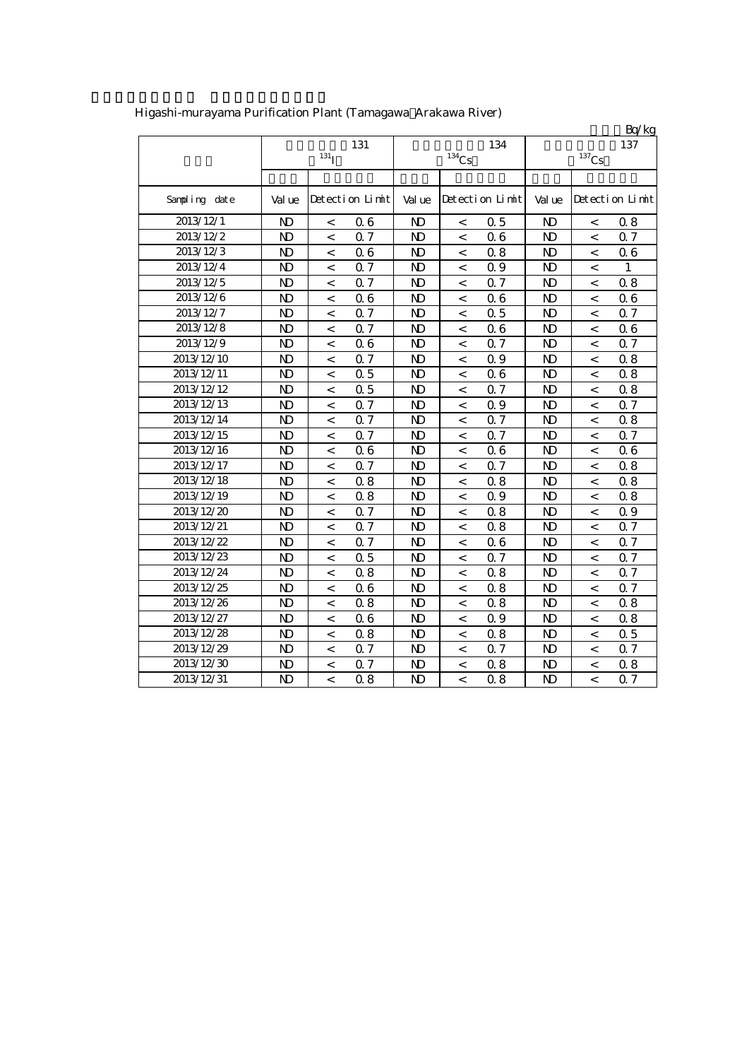|               |                |                          |                 |                |          |                 |                |                          | Bq/kg           |
|---------------|----------------|--------------------------|-----------------|----------------|----------|-----------------|----------------|--------------------------|-----------------|
|               |                |                          | 131             |                |          | 134             |                |                          | 137             |
|               |                | $131$ <sup>T</sup>       |                 |                | $134$ Cs |                 |                | $^{137}\mathrm{Cs}$      |                 |
|               |                |                          |                 |                |          |                 |                |                          |                 |
| Sampling date | Val ue         |                          | Detection Limit | Val ue         |          | Detection Limit | Val ue         |                          | Detection Limit |
| 2013/12/1     | N <sub>D</sub> | $\,<\,$                  | 06              | $\mathbf{N}$   | $\,<\,$  | 0.5             | N <sub>D</sub> | $\,<$                    | 08              |
| 2013/12/2     | $\mathbf{D}$   | $\overline{\phantom{0}}$ | 0.7             | $\mathbf{N}$   | $\,<\,$  | 06              | $\mathbf{N}$   | $\,<$                    | Q 7             |
| 2013/12/3     | $\mathbf{D}$   | $\,<$                    | 06              | $\mathbf{N}$   | $\,<\,$  | 0.8             | $\mathbf{D}$   | $\,<$                    | 06              |
| 2013/12/4     | N <sub>D</sub> | $\lt$                    | 0.7             | <b>ND</b>      | $\lt$    | 0.9             | <b>ND</b>      | $\lt$                    | 1               |
| 2013/12/5     | N <sub>D</sub> | $\,<$                    | 0.7             | $\mathbf{D}$   | $\,<$    | Q 7             | $\mathbf{N}$   | $\,<$                    | 0.8             |
| 2013/12/6     | N <sub>D</sub> | $\,<$                    | 06              | $\mathbf{D}$   | $\,<$    | 06              | $\mathbf{N}$   | $\,<$                    | 06              |
| 2013/12/7     | $\mathbf{N}$   | $\,<\,$                  | 0.7             | $\mathbf{D}$   | $\,<\,$  | 0.5             | $\mathbf{D}$   | $\,<\,$                  | Q 7             |
| 2013/12/8     | ND             | $\,<\,$                  | 0.7             | N)             | $\,<\,$  | 06              | N <sub>D</sub> | $\,<\,$                  | 06              |
| 2013/12/9     | N <sub>D</sub> | $\,<$                    | 06              | $\mathbf{N}$   | $\,<\,$  | 0.7             | $\mathbf{D}$   | $\,<\,$                  | 0.7             |
| 2013/12/10    | N <sub>D</sub> | $\,<$                    | 0.7             | $\mathbf{N}$   | $\,<$    | 0.9             | $\mathbf{N}$   | $\,<\,$                  | 08              |
| 2013/12/11    | $\mathbf{N}$   | $\,<$                    | 0.5             | $\mathbf{D}$   | $\,<$    | 06              | $\mathbf{D}$   | $\,<$                    | 0.8             |
| 2013/12/12    | N <sub>D</sub> | $\,<\,$                  | 0.5             | N)             | $\,<\,$  | 0.7             | ND             | $\,<$                    | 08              |
| 2013/12/13    | N)             | $\,<\,$                  | 0.7             | $\mathbf{D}$   | $\,<\,$  | 0.9             | $\mathbf{D}$   | $\,<\,$                  | 0.7             |
| 2013/12/14    | N <sub>D</sub> | $\,<\,$                  | 0.7             | $\mathbf{N}$   | $\,<\,$  | 0.7             | $\mathbf{D}$   | $\,<\,$                  | 08              |
| 2013/12/15    | N <sub>D</sub> | $\,<\,$                  | 0.7             | $\mathbf{N}$   | $\,<\,$  | 0.7             | N <sub>D</sub> | $\,<\,$                  | 0.7             |
| 2013/12/16    | N <sub>D</sub> | $\,<\,$                  | 06              | $\mathbf{N}$   | $\,<\,$  | 0.6             | $\mathbf{D}$   | $\,<\,$                  | 06              |
| 2013/12/17    | $\mathbf{N}$   | $\,<\,$                  | 0.7             | $\mathbf{D}$   | $\,<$    | 0.7             | $\mathbf{N}$   | $\,<\,$                  | 08              |
| 2013/12/18    | $\mathbf{N}$   | $\,<\,$                  | 08              | $\mathbf{N}$   | $\,<\,$  | 0.8             | $\mathbf{N}$   | $\,<\,$                  | 08              |
| 2013/12/19    | N <sub>D</sub> | $\,<\,$                  | 08              | $\mathbf{D}$   | $\,<$    | 0.9             | $\mathbf{N}$   | $\,<$                    | 0.8             |
| 2013/12/20    | N <sub>D</sub> | $\,<$                    | Q 7             | $\mathbf{D}$   | $\,<$    | 0.8             | $\mathbf{N}$   | $\,<$                    | 0.9             |
| 2013/12/21    | N <sub>D</sub> | $\,<\,$                  | 0.7             | $\mathbf{D}$   | $\,<$    | 0.8             | $\mathbf{N}$   | $\,<$                    | 0.7             |
| 2013/12/22    | N <sub>D</sub> | $\lt$                    | 0.7             | $\mathbf{N}$   | $\,<\,$  | 0.6             | N <sub>D</sub> | $\lt$                    | Q 7             |
| 2013/12/23    | N <sub>D</sub> | $\,<\,$                  | Q <sub>5</sub>  | $\mathbf{N}$   | $\,<$    | 0.7             | $\mathbf{N}$   | $\,<$                    | 0.7             |
| 2013/12/24    | N <sub>D</sub> | $\overline{\phantom{0}}$ | 0.8             | $\mathbf{N}$   | $\,<$    | 0.8             | $\mathbf{N}$   | $\,<$                    | 0.7             |
| 2013/12/25    | $\mathbf{N}$   | $\,<$                    | 06              | $\mathbf{N}$   | $\,<\,$  | 0.8             | $\mathbf{N}$   | $\overline{\phantom{a}}$ | Q 7             |
| 2013/12/26    | ND             | $\,<\,$                  | 08              | N)             | $\,<$    | 0.8             | $\mathbf{D}$   | $\,<\,$                  | 08              |
| 2013/12/27    | ND             | $\,<\,$                  | 06              | $\mathbf{D}$   | $\,<\,$  | 0.9             | ND             | $\,<\,$                  | 08              |
| 2013/12/28    | N <sub>D</sub> | $\,<\,$                  | 0.8             | $\mathbf{N}$   | $\,<\,$  | 0.8             | $\mathbf{N}$   | $\overline{\phantom{0}}$ | 0.5             |
| 2013/12/29    | N <sub>D</sub> | $\,<\,$                  | 0.7             | $\mathbf{N}$   | $\,<\,$  | 0.7             | $\mathbf{N}$   | $\,<\,$                  | Q 7             |
| 2013/12/30    | $\mathbf{D}$   | $\overline{\phantom{0}}$ | 0.7             | N <sub>D</sub> | $\,<\,$  | 0.8             | $\mathbf{N}$   | $\,<\,$                  | 08              |
| 2013/12/31    | $\mathbf{D}$   | $\overline{a}$           | 08              | $\mathbf{N}$   | $\,<\,$  | 0.8             | $\mathbf{D}$   | $\,<$                    | Q 7             |

Higashi-murayama Purification Plant (Tamagawa Arakawa River)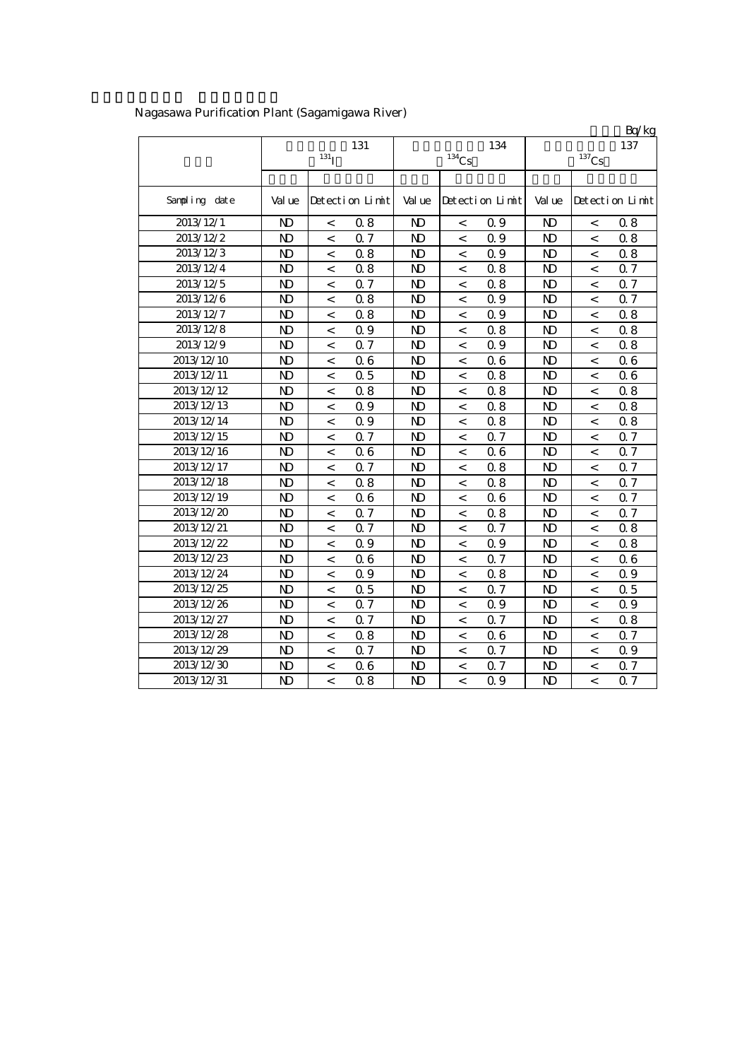|               |                       |                          |                 |              |                          |                 |                |                     | Bq/kg           |
|---------------|-----------------------|--------------------------|-----------------|--------------|--------------------------|-----------------|----------------|---------------------|-----------------|
|               |                       |                          | 131             |              |                          | 134             |                |                     | 137             |
|               |                       | 131 <sub>I</sub>         |                 |              | $^{134}\mathrm{Cs}$      |                 |                | $^{137}\mathrm{Cs}$ |                 |
|               |                       |                          |                 |              |                          |                 |                |                     |                 |
| Sampling date | Val ue                |                          | Detection Limit | Val ue       |                          | Detection Limit | Val ue         |                     | Detection Limit |
| 2013/12/1     | $\mathbf{N}$          | $\,<\,$                  | 0.8             | $\mathbf{N}$ | $\,<$                    | 0.9             | $\mathbf{N}$   | $\,<$               | 0.8             |
| 2013/12/2     | $\mathbf{N}$          | $\overline{\phantom{a}}$ | Q 7             | $\mathbf{N}$ | $\overline{\phantom{a}}$ | Q 9             | $\mathbf{N}$   | $\,<$               | 08              |
| 2013/12/3     | $\mathbf{N}$          | $\overline{\phantom{a}}$ | 0.8             | $\mathbf{N}$ | $\overline{\phantom{a}}$ | Q 9             | $\mathbf{N}$   | $\lt$               | 08              |
| 2013/12/4     | $\mathbf{D}$          | $\,<$                    | 0.8             | N)           | $\,<\,$                  | 0.8             | $\mathbf{D}$   | $\,<$               | Q 7             |
| 2013/12/5     | $\mathbf{D}$          | $\,<\,$                  | 0.7             | N)           | $\,<\,$                  | 0.8             | $\mathbf{D}$   | $\,<\,$             | Q 7             |
| 2013/12/6     | $\mathbf{D}$          | $\,<$                    | 0.8             | N)           | $\,<\,$                  | 0.9             | $\mathbf{D}$   | $\,<$               | Q 7             |
| 2013/12/7     | $\mathbf{N}$          | $\,<$                    | 0.8             | $\mathbf{D}$ | $\,<\,$                  | 0.9             | $\mathbf{N}$   | $\,<$               | 0.8             |
| 2013/12/8     | $\mathbf{N}$          | $\,<$                    | 0.9             | $\mathbf{N}$ | $\,<$                    | 0.8             | $\mathbf{N}$   | $\,<\,$             | 0.8             |
| 2013/12/9     | $\mathbf{N}$          | $\,<$                    | 0.7             | $\mathbf{D}$ | $\,<\,$                  | 0.9             | $\mathbf{D}$   | $\,<$               | 0.8             |
| 2013/12/10    | $\mathbf{N}$          | $\overline{\phantom{a}}$ | 06              | $\mathbf{N}$ | $\,<$                    | 06              | $\mathbf{N}$   | $\,<$               | 06              |
| 2013/12/11    | $\mathbf{N}$          | $\overline{\phantom{a}}$ | 0.5             | $\mathbf{N}$ | $\overline{\phantom{a}}$ | 0.8             | $\mathbf{N}$   | $\,<$               | 06              |
| 2013/12/12    | $\mathbf{N}$          | $\,<\,$                  | 0.8             | $\mathbf{N}$ | $\,<\,$                  | 0.8             | $\mathbf{N}$   | $\lt$               | 08              |
| 2013/12/13    | $\mathbf{N}$          | $\,<\,$                  | 0.9             | $\mathbf{D}$ | $\,<\,$                  | 0.8             | $\mathbf{D}$   | $\,<$               | 08              |
| 2013/12/14    | $\mathbf{N}$          | $\,<$                    | 0.9             | ND           | $\,<\,$                  | 0.8             | $\mathbf{D}$   | $\,<$               | 0.8             |
| 2013/12/15    | $\mathbf{N}$          | $\,<\,$                  | 0.7             | ND           | $\,<\,$                  | 0.7             | $\mathbf{N}$   | $\,<\,$             | Q 7             |
| 2013/12/16    | $\mathbf{N}$          | $\,<$                    | 06              | ND           | $\,<\,$                  | 06              | $\mathbf{N}$   | $\,<\,$             | Q 7             |
| 2013/12/17    | $\mathbf{N}$          | $\,<\,$                  | Q 7             | $\mathbf{D}$ | $\,<\,$                  | 0.8             | $\mathbf{N}$   | $\,<\,$             | 0.7             |
| 2013/12/18    | $\mathbf{N}$          | $\,<\,$                  | 0.8             | $\mathbf{N}$ | $\,<\,$                  | 0.8             | $\mathbf{N}$   | $\,<\,$             | 0.7             |
| 2013/12/19    | $\mathbf{N}$          | $\,<\,$                  | 06              | $\mathbf{N}$ | $\,<\,$                  | 06              | $\mathbf{N}$   | $\,<\,$             | 0.7             |
| 2013/12/20    | $\mathbf{N}$          | $\overline{\phantom{a}}$ | 0.7             | $\mathbf{N}$ | $\overline{\phantom{a}}$ | 0.8             | $\mathbf{N}$   | $\lt$               | Q 7             |
| 2013/12/21    | $\mathbf{N}$          | $\overline{\phantom{a}}$ | Q <sub>7</sub>  | $\mathbf{N}$ | $\overline{\phantom{a}}$ | 0.7             | $\mathbf{N}$   | $\lt$               | 08              |
| 2013/12/22    | $\mathbf{N}$          | $\,<$                    | 0.9             | $\mathbf{D}$ | $\,<\,$                  | 0.9             | $\mathbf{N}$   | $\,<\,$             | 08              |
| 2013/12/23    | $\mathbf{N}$          | $\,<$                    | 06              | N)           | $\,<\,$                  | 0.7             | $\mathbf{N}$   | $\,<\,$             | 06              |
| 2013/12/24    | $\mathbf{N}$          | $\,<$                    | 0.9             | ND           | $\,<\,$                  | 0.8             | $\mathbf{N}$   | $\,<$               | 0.9             |
| 2013/12/25    | $\mathbf{D}$          | $\,<$                    | 0.5             | ND           | $\,<\,$                  | 0.7             | $\mathbf{D}$   | $\,<$               | 0.5             |
| 2013/12/26    | $\mathbf{N}$          | $\lt$                    | Q 7             | $\mathbf{N}$ | $\,<\,$                  | 0.9             | $\mathbf{N}$   | $\,<$               | 0.9             |
| 2013/12/27    | $\mathbf{N}$          | $\,<\,$                  | Q 7             | $\mathbf{D}$ | $\,<\,$                  | 0.7             | $\mathbf{N}$   | $\,<$               | 08              |
| 2013/12/28    | $\mathbf{N}$          | $\,<\,$                  | 08              | $\mathbf{N}$ | $\,<\,$                  | 0.6             | $\mathbf{N}$   | $\,<$               | 0.7             |
| 2013/12/29    | $\mathbf{N}$          | $\overline{\phantom{a}}$ | 0.7             | $\mathbf{N}$ | $\overline{a}$           | Q 7             | $\mathbf{N}$   | $\,<$               | 0.9             |
| 2013/12/30    | $\mathbf{N}$          | $\,<$                    | 06              | ND           | $\,<$                    | 0.7             | $\mathbf{D}$   | $\overline{a}$      | 0.7             |
| 2013/12/31    | $\overline{\text{N}}$ | $\overline{\phantom{a}}$ | 0.8             | $\mathbf{D}$ | $\overline{a}$           | Q 9             | $\overline{D}$ | $\overline{a}$      | Q 7             |

Nagasawa Purification Plant (Sagamigawa River)